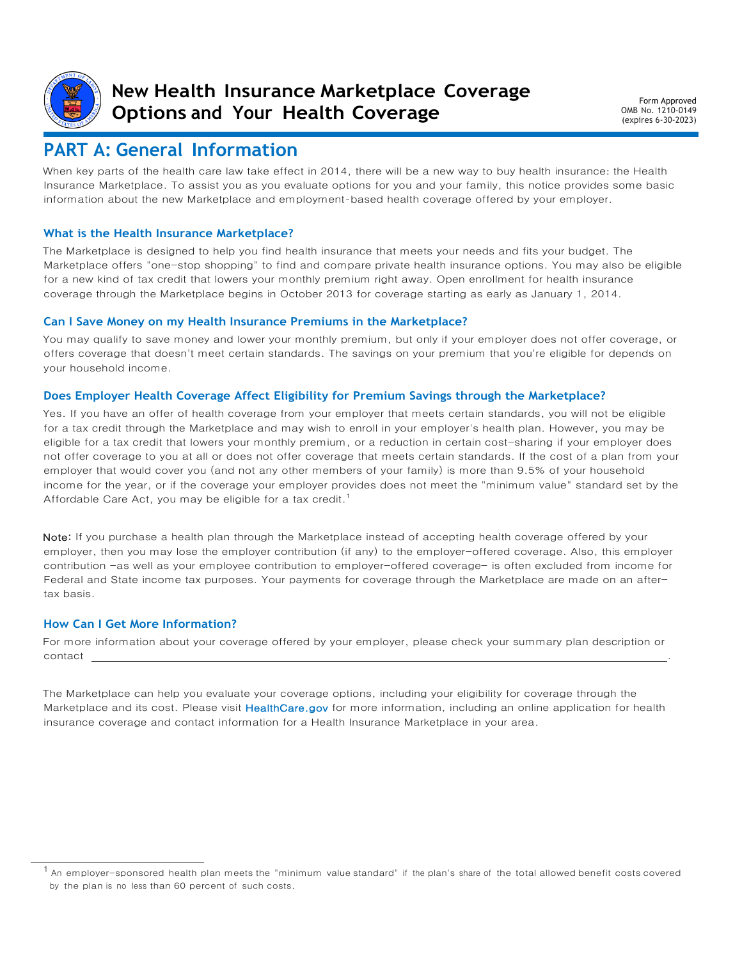

### **New Health Insurance Marketplace Coverage Options and Your Health Coverage**

Form Approved OMB No. 1210-0149 (expires 6-30-2023)

# **PART A: General Information**

When key parts of the health care law take effect in 2014, there will be a new way to buy health insurance: the Health Insurance Marketplace. To assist you as you evaluate options for you and your family, this notice provides some basic information about the new Marketplace and employment-based health coverage offered by your employer.

### **What is the Health Insurance Marketplace?**

The Marketplace is designed to help you find health insurance that meets your needs and fits your budget. The Marketplace offers "one-stop shopping" to find and compare private health insurance options. You may also be eligible for a new kind of tax credit that lowers your monthly premium right away. Open enrollment for health insurance coverage through the Marketplace begins in October 2013 for coverage starting as early as January 1, 2014.

#### **Can I Save Money on my Health Insurance Premiums in the Marketplace?**

You may qualify to save money and lower your monthly premium, but only if your employer does not offer coverage, or offers coverage that doesn't meet certain standards. The savings on your premium that you're eligible for depends on your household income.

#### **Does Employer Health Coverage Affect Eligibility for Premium Savings through the Marketplace?**

Yes. If you have an offer of health coverage from your employer that meets certain standards, you will not be eligible for a tax credit through the Marketplace and may wish to enroll in your employer's health plan. However, you may be eligible for a tax credit that lowers your monthly premium, or a reduction in certain cost-sharing if your employer does not offer coverage to you at all or does not offer coverage that meets certain standards. If the cost of a plan from your employer that would cover you (and not any other members of your family) is more than 9.5% of your household income for the year, or if the coverage your employer provides does not meet the "minimum value" standard set by the Affordable Care Act, you may be eligible for a tax credit.<sup>1</sup>

Note: If you purchase a health plan through the Marketplace instead of accepting health coverage offered by your employer, then you may lose the employer contribution (if any) to the employer-offered coverage. Also, this employer contribution -as well as your employee contribution to employer-offered coverage- is often excluded from income for Federal and State income tax purposes. Your payments for coverage through the Marketplace are made on an aftertax basis.

#### **How Can I Get More Information?**

For more information about your coverage offered by your employer, please check your summary plan description or contact .

The Marketplace can help you evaluate your coverage options, including your eligibility for coverage through the Marketplace and its cost. Please visit [HealthCare.gov](http://www.healthcare.gov/) for more information, including an online application for health insurance coverage and contact information for a Health Insurance Marketplace in your area.

 $^{\sf 1}$  An employer-sponsored health plan meets the "minimum value standard" if the plan's share of the total allowed benefit costs covered by the plan is no less than 60 percent of such costs.